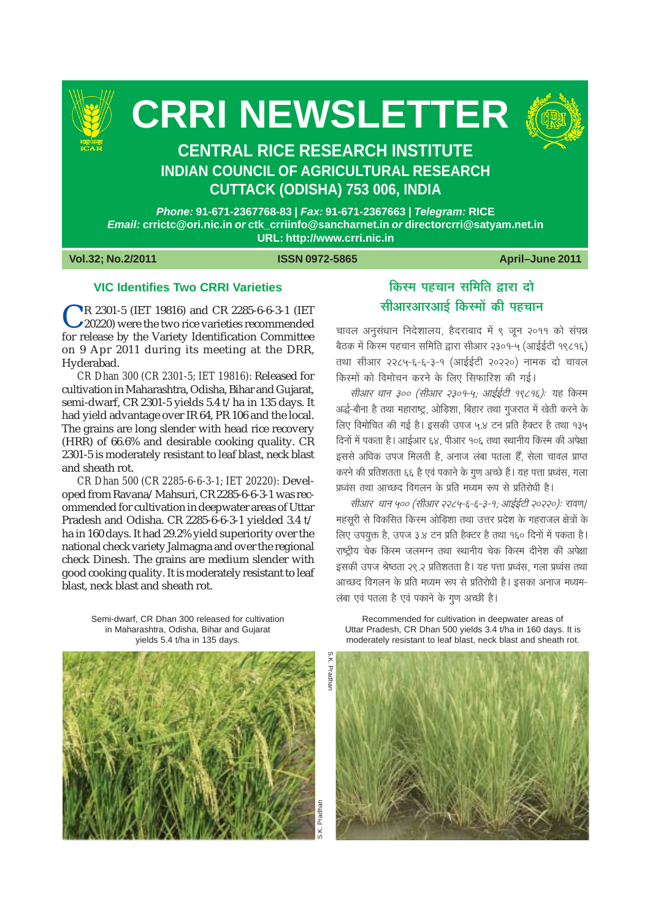

# **CRRI NEWSLETTER**



# **CENTRAL RICE RESEARCH INSTITUTE INDIAN COUNCIL OF AGRICULTURAL RESEARCH CUTTACK (ODISHA) 753 006, INDIA**

Phone: 91-671-2367768-83 | Fax: 91-671-2367663 | Telegram: RICE Email: crrictc@ori.nic.in or ctk crriinfo@sancharnet.in or directorcrri@satyam.net.in URL: http://www.crri.nic.in

Vol.32; No.2/2011

#### **ISSN 0972-5865**

April-June 2011

# **VIC Identifies Two CRRI Varieties**

R 2301-5 (IET 19816) and CR 2285-6-6-3-1 (IET 20220) were the two rice varieties recommended for release by the Variety Identification Committee on 9 Apr 2011 during its meeting at the DRR, Hyderabad.

CR Dhan 300 (CR 2301-5; IET 19816): Released for cultivation in Maharashtra, Odisha, Bihar and Gujarat, semi-dwarf, CR 2301-5 yields 5.4 t/ha in 135 days. It had yield advantage over IR 64, PR 106 and the local. The grains are long slender with head rice recovery (HRR) of 66.6% and desirable cooking quality. CR 2301-5 is moderately resistant to leaf blast, neck blast and sheath rot.

CR Dhan 500 (CR 2285-6-6-3-1; IET 20220): Developed from Ravana/Mahsuri, CR 2285-6-6-3-1 was recommended for cultivation in deepwater areas of Uttar Pradesh and Odisha. CR 2285-6-6-3-1 yielded 3.4 t/ ha in 160 days. It had 29.2% yield superiority over the national check variety Jalmagna and over the regional check Dinesh. The grains are medium slender with good cooking quality. It is moderately resistant to leaf blast, neck blast and sheath rot.

किस्म पहचान समिति द्वारा दो सीआरआरआई किस्मों की पहचान

चावल अनुसंधान निदेशालय, हैदराबाद में ९ जन २०११ को संपन्न बैठक में किस्म पहचान समिति द्वारा सीआर २३०१-५ (आईईटी १९८१६) तथा सीआर २२८५-६-६-३-१ (आईईटी २०२२०) नामक दो चावल किस्मों को विमोचन करने के लिए सिफारिश की गई।

सीआर धान ३०० (सीआर २३०१-५; आईईटी १९८१६): यह किस्म अर्द्ध-बौना है तथा महाराष्ट्र, ओड़िशा, बिहार तथा गुजरात में खेती करने के लिए विमोचित की गई है। इसकी उपज ५.४ टन प्रति हैक्टर है तथा १३५ दिनों में पकता है। आईआर ६४, पीआर १०६ तथा स्थानीय किस्म की अपेक्षा इससे अधिक उपज मिलती है, अनाज लंबा पतला हैं, सेला चावल प्राप्त करने की प्रतिशतता ६६ है एवं पकाने के गुण अच्छे हैं। यह पत्ता प्रध्वंस, गला प्रध्वंस तथा आच्छद विगलन के प्रति मध्यम रूप से प्रतिरोधी है।

सीआर धान ५०० (सीआर २२८५-६-६-३-१; आईईटी २०२२०): रावण/ महसूरी से विकसित किस्म ओड़िशा तथा उत्तर प्रदेश के गहराजल क्षेत्रों के लिए उपयुक्त है, उपज ३.४ टन प्रति हैक्टर है तथा १६० दिनों में पकता है। राष्ट्रीय चेक किस्म जलमग्न तथा स्थानीय चेक किस्म दीनेश की अपेक्षा इसकी उपज श्रेष्ठता २९.२ प्रतिशतता है। यह पत्ता प्रध्वंस, गला प्रध्वंस तथा आच्छद विगलन के प्रति मध्यम रूप से प्रतिरोधी है। इसका अनाज मध्यम-लंबा एवं पतला है एवं पकाने के गूण अच्छी है।

Semi-dwarf, CR Dhan 300 released for cultivation in Maharashtra, Odisha, Bihar and Guiarat yields 5.4 t/ha in 135 days.



Recommended for cultivation in deepwater areas of Uttar Pradesh, CR Dhan 500 vields 3.4 t/ha in 160 days. It is moderately resistant to leaf blast, neck blast and sheath rot.

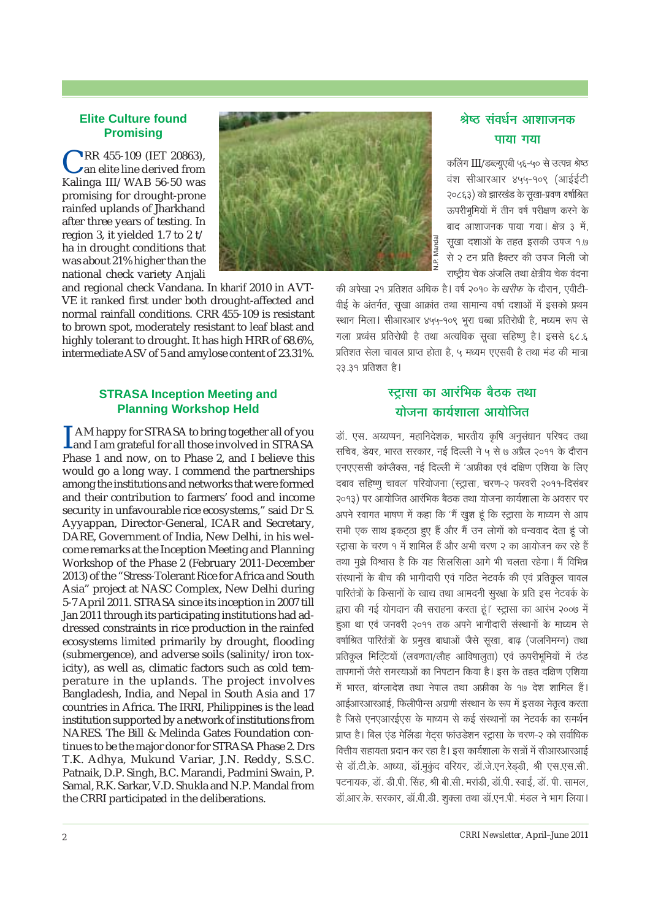#### **Elite Culture found Promisina**

RR 455-109 (IET 20863). an elite line derived from Kalinga III/WAB 56-50 was promising for drought-prone rainfed uplands of Jharkhand after three years of testing. In region 3. it vielded 1.7 to  $2t/$ ha in drought conditions that was about 21% higher than the national check variety Anjali



and regional check Vandana. In kharif 2010 in AVT-VE it ranked first under both drought-affected and normal rainfall conditions. CRR 455-109 is resistant to brown spot, moderately resistant to leaf blast and highly tolerant to drought. It has high HRR of 68.6%, intermediate ASV of 5 and amylose content of 23.31%.

## **STRASA Inception Meeting and Planning Workshop Held**

AM happy for STRASA to bring together all of you Land I am grateful for all those involved in STRASA Phase 1 and now, on to Phase 2, and I believe this would go a long way. I commend the partnerships among the institutions and networks that were formed and their contribution to farmers' food and income security in unfavourable rice ecosystems," said Dr S. Ayyappan, Director-General, ICAR and Secretary, DARE, Government of India, New Delhi, in his welcome remarks at the Inception Meeting and Planning Workshop of the Phase 2 (February 2011-December 2013) of the "Stress-Tolerant Rice for Africa and South Asia" project at NASC Complex, New Delhi during 5-7 April 2011. STRASA since its inception in 2007 till Jan 2011 through its participating institutions had addressed constraints in rice production in the rainfed ecosystems limited primarily by drought, flooding (submergence), and adverse soils (salinity/iron toxicity), as well as, climatic factors such as cold temperature in the uplands. The project involves Bangladesh, India, and Nepal in South Asia and 17 countries in Africa. The IRRI, Philippines is the lead institution supported by a network of institutions from NARES. The Bill & Melinda Gates Foundation continues to be the major donor for STRASA Phase 2. Drs T.K. Adhya, Mukund Variar, J.N. Reddy, S.S.C. Patnaik, D.P. Singh, B.C. Marandi, Padmini Swain, P. Samal, R.K. Sarkar, V.D. Shukla and N.P. Mandal from the CRRI participated in the deliberations.

# श्रेष्ट संवर्धन आशाजनक पाया गया

कलिंग III/डब्ल्यूएबी ५६-५० से उत्पन्न श्रेष्ठ वंश सीआरआर ४५५-१०९ (आईईटी २०८६३) को झारखंड के सुखा-प्रवण वर्षाश्रित ऊपरीभुमियों में तीन वर्ष परीक्षण करने के बाद आशाजनक पाया गया। क्षेत्र ३ में, सुखा दशाओं के तहत इसकी उपज १.७ से २ टन प्रति हैक्टर की उपज मिली जो राष्टीय चेक अंजलि तथा क्षेत्रीय चेक वंदना

की अपेखा २१ प्रतिशत अधिक है। वर्ष २०१० के *खरीफ* के दौरान, एवीटी-वीई के अंतर्गत, सूखा आक्रांत तथा सामान्य वर्षा दशाओं में इसको प्रथम स्थान मिला। सीआरआर ४५५-१०९ भुरा धब्बा प्रतिरोधी है, मध्यम रूप से गला प्रध्वंस प्रतिरोधी है तथा अत्यधिक सुखा सहिष्णु है। इससे ६८.६ प्रतिशत सेला चावल प्राप्त होता है. ५ मध्यम एएसवी है तथा मंड की मात्रा २३.३१ प्रतिशत है।

# स्टासा का आरंभिक बैठक तथा योजना कार्यशाला आयोजित

डॉ. एस. अय्यप्पन, महानिदेशक, भारतीय कृषि अनुसंधान परिषद तथा सचिव, डेयर, भारत सरकार, नई दिल्ली ने ५ से ७ अप्रैल २०११ के दौरान एनएएससी कांप्लैक्स, नई दिल्ली में 'अफ्रीका एवं दक्षिण एशिया के लिए दबाव सहिष्णू चावल' परियोजना (स्ट्रासा, चरण-२ फरवरी २०११-दिसंबर २०१३) पर आयोजित आरंभिक बैठक तथा योजना कार्यशाला के अवसर पर अपने स्वागत भाषण में कहा कि 'मैं खुश हं कि स्ट्रासा के माध्यम से आप सभी एक साथ इकटठा हुए हैं और मैं उन लोगों को धन्यवाद देता हूं जो स्ट्रासा के चरण १ में शामिल हैं और अभी चरण २ का आयोजन कर रहे हैं तथा मुझे विश्वास है कि यह सिलसिला आगे भी चलता रहेगा। मैं विभिन्न संस्थानों के बीच की भागीदारी एवं गठित नेटवर्क की एवं प्रतिकृत चावल पारितंत्रों के किसानों के खाद्य तथा आमदनी सूरक्षा के प्रति इस नेटवर्क के द्वारा की गई योगदान की सराहना करता हूं।' स्ट्रासा का आरंभ २००७ में हुआ था एवं जनवरी २०११ तक अपने भागीदारी संस्थानों के माध्यम से वर्षाश्रित पारितंत्रों के प्रमख बाधाओं जैसे सखा, बाढ़ (जलनिमग्न) तथा प्रतिकृल मिटिटयों (लवणता/लौह आविषालता) एवं ऊपरीभूमियों में ठंड तापमानों जैसे समस्याओं का निपटान किया है। इस के तहत दक्षिण एशिया में भारत, बांग्लादेश तथा नेपाल तथा अफ्रीका के १७ देश शामिल हैं। आईआरआरआई. फिलीपीन्स अग्रणी संस्थान के रूप में इसका नेतत्व करता है जिसे एनएआरईएस के माध्यम से कई संस्थानों का नेटवर्क का समर्थन प्राप्त है। बिल एंड मेलिंडा गेटस फांउडेशन स्ट्रासा के चरण-२ को सर्वाधिक वित्तीय सहायता प्रदान कर रहा है। इस कार्यशाला के सत्रों में सीआरआरआई से डॉ.टी.के. आध्या, डॉ.मुकंद वरियर, डॉ.जे.एन.रेडडी, श्री एस.एस.सी. पटनायक, डॉ. डी.पी. सिंह, श्री बी.सी. मरांडी, डॉ.पी. स्वाई, डॉ. पी. सामल, डॉ.आर.के. सरकार, डॉ.वी.डी. शुक्ला तथा डॉ.एन.पी. मंडल ने भाग लिया।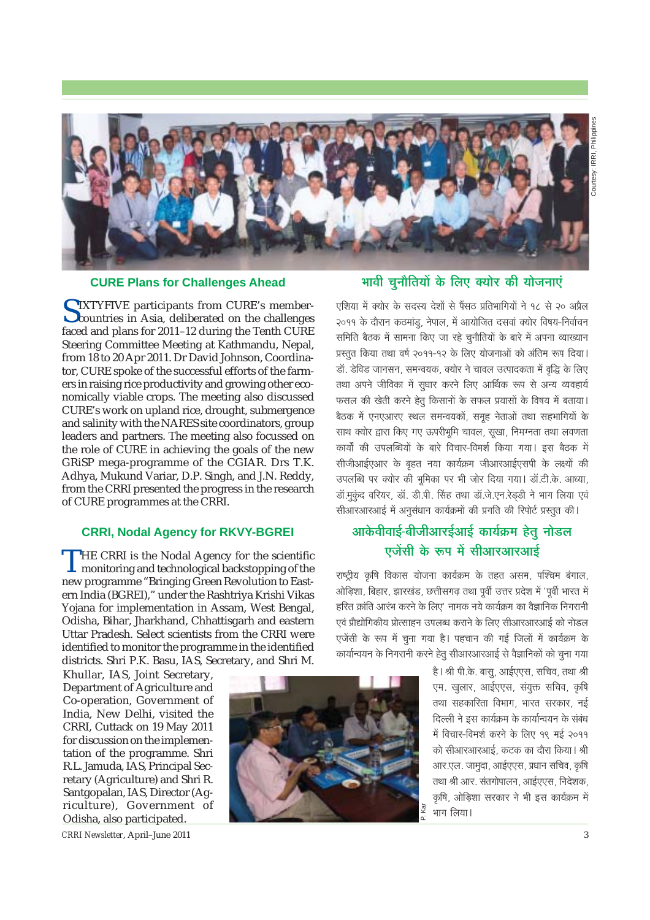

#### **CURE Plans for Challenges Ahead**

SIXTYFIVE participants from CURE's member-<br>Countries in Asia, deliberated on the challenges faced and plans for 2011-12 during the Tenth CURE Steering Committee Meeting at Kathmandu, Nepal, from 18 to 20 Apr 2011. Dr David Johnson, Coordinator, CURE spoke of the successful efforts of the farmers in raising rice productivity and growing other economically viable crops. The meeting also discussed CURE's work on upland rice, drought, submergence and salinity with the NARES site coordinators, group leaders and partners. The meeting also focussed on the role of CURE in achieving the goals of the new GRISP mega-programme of the CGIAR. Drs T.K. Adhya, Mukund Variar, D.P. Singh, and J.N. Reddy, from the CRRI presented the progress in the research of CURE programmes at the CRRI.

## **CRRI, Nodal Agency for RKVY-BGREI**

 $\Gamma$ HE CRRI is the Nodal Agency for the scientific I monitoring and technological backstopping of the new programme "Bringing Green Revolution to Eastern India (BGREI)," under the Rashtriya Krishi Vikas Yojana for implementation in Assam, West Bengal, Odisha, Bihar, Jharkhand, Chhattisgarh and eastern Uttar Pradesh. Select scientists from the CRRI were identified to monitor the programme in the identified districts. Shri P.K. Basu, IAS, Secretary, and Shri M.

Khullar, IAS, Joint Secretary, Department of Agriculture and Co-operation, Government of India, New Delhi, visited the CRRI, Cuttack on 19 May 2011 for discussion on the implementation of the programme. Shri R.L. Jamuda, IAS, Principal Secretary (Agriculture) and Shri R. Santgopalan, IAS, Director (Agriculture), Government of Odisha, also participated.

CRRI Newsletter, April-June 2011



# भावी चुनौतियों के लिए क्योर की योजनाएं

एशिया में क्योर के सदस्य देशों से पैंसठ प्रतिभागियों ने १८ से २० अप्रैल २०११ के दौरान कठमांडू, नेपाल, में आयोजित दसवां क्योर विषय-निर्वाचन समिति बैठक में सामना किए जा रहे चुनौतियों के बारे में अपना व्याख्यान प्रस्तुत किया तथा वर्ष २०११-१२ के लिए योजनाओं को अंतिम रूप दिया। डॉ. डेविड जानसन. समन्वयक. क्योर ने चावल उत्पादकता में वद्धि के लिए तथा अपने जीविका में सुधार करने लिए आर्थिक रूप से अन्य व्यवहार्य फसल की खेती करने हेतू किसानों के सफल प्रयासों के विषय में बताया। बैठक में एनएआरए स्थल समन्वयकों, समुह नेताओं तथा सहभागियों के साथ क्योर द्वारा किए गए ऊपरीभूमि चावल, सुखा, निमग्नता तथा लवणता कार्यों की उपलब्धियों के बारे विचार-विमर्श किया गया। इस बैठक में सीजीआईएआर के बहुत नया कार्यक्रम जीआरआईएसपी के लक्ष्यों की उपलब्धि पर क्योर की भूमिका पर भी जोर दिया गया। डॉ.टी.के. आध्या, डॉ.मुकंद वरियर, डॉ. डी.पी. सिंह तथा डॉ.जे.एन.रेडडी ने भाग लिया एवं सीआरआरआई में अनुसंधान कार्यक्रमों की प्रगति की रिपोर्ट प्रस्तुत की।

# आकेवीवाई-बीजीआरईआई कार्यक्रम हेतु नोडल एजेंसी के रूप में सीआरआरआई

राष्ट्रीय कृषि विकास योजना कार्यक्रम के तहत असम, पश्चिम बंगाल, ओड़िशा, बिहार, झारखंड, छत्तीसगढ़ तथा पूर्वी उत्तर प्रदेश में 'पूर्वी भारत में हरित क्रांति आरंभ करने के लिए' नामक नये कार्यक्रम का वैज्ञानिक निगरानी एवं प्रौद्योगिकीय प्रोत्साहन उपलब्ध कराने के लिए सीआरआरआई को नोडल एजेंसी के रूप में चुना गया है। पहचान की गई जिलों में कार्यक्रम के कार्यान्वयन के निगरानी करने हेतु सीआरआरआई से वैज्ञानिकों को चुना गया

> है। श्री पी.के. बास. आईएएस. सचिव. तथा श्री एम. खुलार, आईएएस, संयुक्त सचिव, कृषि तथा सहकारिता विभाग, भारत सरकार, नई दिल्ली ने इस कार्यक्रम के कार्यान्वयन के संबंध में विचार-विमर्श करने के लिए १९ मई २०११ को सीआरआरआई. कटक का दौरा किया। श्री आर.एल. जामुदा, आईएएस, प्रधान सचिव, कृषि तथा श्री आर. संतगोपालन, आईएएस, निदेशक, कृषि, ओडिशा सरकार ने भी इस कार्यक्रम में भाग लिया।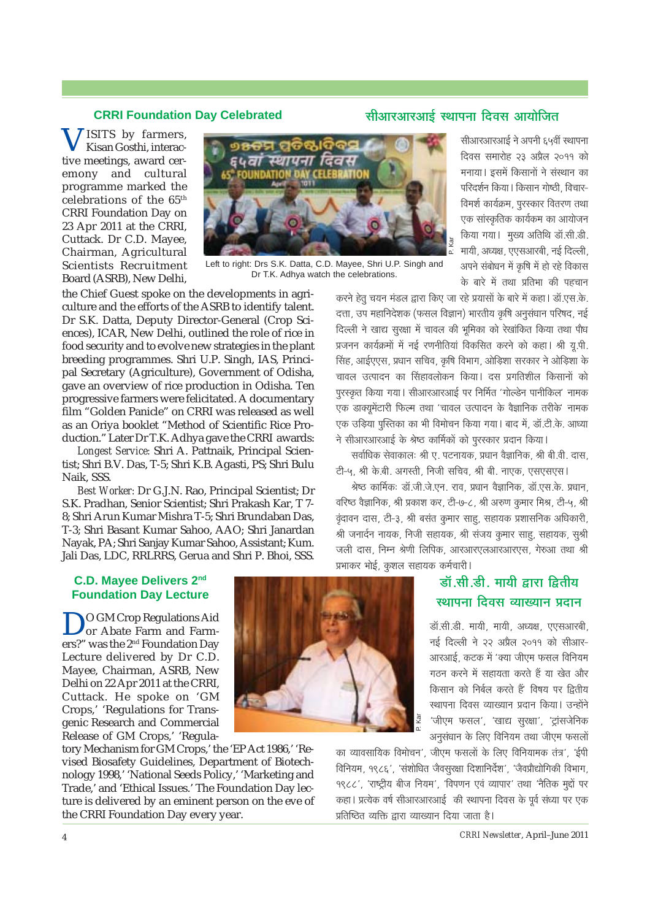#### **CRRI Foundation Day Celebrated**

# <u>सीआरआरआई स्थापना दिवस आयोजित</u>

**JISITS** by farmers, Kisan Gosthi, interactive meetings, award ceremony and cultural programme marked the celebrations of the 65th CRRI Foundation Day on 23 Apr 2011 at the CRRI, Cuttack. Dr C.D. Mayee, Chairman, Agricultural Scientists Recruitment Board (ASRB), New Delhi,



Left to right: Drs S.K. Datta, C.D. Mayee, Shri U.P. Singh and Dr T.K. Adhya watch the celebrations.

the Chief Guest spoke on the developments in agriculture and the efforts of the ASRB to identify talent. Dr S.K. Datta, Deputy Director-General (Crop Sciences), ICAR, New Delhi, outlined the role of rice in food security and to evolve new strategies in the plant breeding programmes. Shri U.P. Singh, IAS, Principal Secretary (Agriculture), Government of Odisha, gave an overview of rice production in Odisha. Ten progressive farmers were felicitated. A documentary film "Golden Panicle" on CRRI was released as well as an Oriya booklet "Method of Scientific Rice Production." Later Dr T.K. Adhya gave the CRRI awards:

*Longest Service:* Shri A. Pattnaik, Principal Scientist; Shri B.V. Das, T-5; Shri K.B. Agasti, PS; Shri Bulu Naik, SSS.

*Best Worker:* Dr G.J.N. Rao, Principal Scientist; Dr S.K. Pradhan, Senior Scientist; Shri Prakash Kar, T 7- 8; Shri Arun Kumar Mishra T-5; Shri Brundaban Das, T-3; Shri Basant Kumar Sahoo, AAO; Shri Janardan Nayak, PA; Shri Sanjay Kumar Sahoo, Assistant; Kum. Jali Das, LDC, RRLRRS, Gerua and Shri P. Bhoi, SSS.

सीआरआरआई ने अपनी *६५वीं* स्थापना दिवस समारोह २३ अप्रैल २०११ को मनाया । इसमें किसानों ने संस्थान का परिदर्शन किया। किसान गोष्ठी, विचार-विमर्श कार्यक्रम, पुरस्कार वितरण तथा एक सांस्कृतिक कार्यकम का आयोजन किया गया। मुख्य अतिथि डॉ.सी.डी. मायी, अध्यक्ष, एएसआरबी, नई दिल्ली, अपने संबोधन में कृषि में हो रहे विकास के बारे में तथा प्रतिभा की पहचान

करने हेतु चयन मंडल द्वारा किए जा रहे प्रयासों के बारे में कहा। डॉ.एस.के. दत्ता, उप महानिदेशक (फसल विज्ञान) भारतीय कृषि अनुसंधान परिषद, नई <u>दिल्ली ने खाद्य सुरक्षा में चावल की भुमिका को रेखांकित किया तथा पौध</u> प्रजनन कार्यक्रमों में नई रणनीतियां विकसित करने को कहा। श्री यु.पी. सिंह, आईएएस, प्रधान सचिव, कृषि विभाग, ओड़िशा सरकार ने ओड़िशा के चावल उत्पादन का सिंहावलोकन किया। दस प्रगतिशील किसानों को yरस्कृत किया गया। सीआरआरआई पर निर्मित 'गोल्डेन पानीकिल' नामक एक डाक्युमेंटारी फिल्म तथा 'चावल उत्पादन के वैज्ञानिक तरीके' नामक एक उड़िया पुस्तिका का भी विमोचन किया गया। बाद में, डॉ.टी.के. आध्या ने सीआरआरआई के श्रेष्ठ कार्मिकों को परस्कार प्रदान किया।

सर्वाधिक सेवाकालः श्री ए. पटनायक, प्रधान वैज्ञानिक, श्री बी.वी. दास, टी-५, श्री के.बी. अगस्ती, निजी सचिव, श्री बी. नाएक, एसएसएस।

<u>श्रेष्ठ कार्मिकः डॉ.जी.जे.एन. राव, प्रधान वैज्ञानिक, डॉ.एस.के. प्रधान, </u> वरिष्ठ वैज्ञानिक, श्री प्रकाश कर, टी-७-८, श्री अरुण कुमार मिश्र, टी-५, श्री  $\vec{q}$ दावन दास, टी-३, श्री बसंत कुमार साह, सहायक प्रशासनिक अधिकारी, श्री जनार्दन नायक, निजी सहायक, श्री संजय कुमार साहू, सहायक, सूश्री जली दास, निम्न श्रेणी लिपिक, आरआरएलआरआरएस, गेरुआ तथा श्री प्रभाकर भोई, कुशल सहायक कर्मचारी ।

# <u>स्रॉ.सी.डी. मायी द्वारा द्वितीय</u> **ख्यापना दिवस व्याख्यान प्रदान**

डॉ.सी.डी. मायी. मायी. अध्यक्ष. एएसआरबी. नई दिल्ली ने २२ अप्रैल २०११ को सीआर-आरआई, कटक में 'क्या जीएम फसल विनियम गठन करने में सहायता करते हैं या खेत और किसान को निर्बल करते हैं विषय पर द्वितीय <u>स्था</u>पना दिवस व्याख्यान प्रदान किया। उन्होंने 'जीएम फसल', 'खाद्य सुरक्षा', 'ट्रांसजेनिक अनुसंधान के लिए विनियम तथा जीएम फसलों

का व्यावसायिक विमोचन', जीएम फसलों के लिए विनियामक तंत्र', 'ईपी विनियम, १९८६', 'संशोधित जैवसुरक्षा दिशानिर्देश', 'जैवप्रौद्योगिकी विभाग, १९८८', 'राष्ट्रीय बीज नियम', 'विपणन एवं व्यापार' तथा 'नैतिक मुद्दों पर कहा | प्रत्येक वर्ष सीआरआरआई की स्थापना दिवस के पूर्व संध्या पर एक |<br>प्रतिष्ठित व्यक्ति द्वारा व्याख्यान दिया जाता है।

## **C.D. Mayee Delivers 2nd Foundation Day Lecture**

DO GM Crop Regulations Aid<br>or Abate Farm and Farm-<br>anal" was the 2nd Faundation Deve ers?" was the 2nd Foundation Day Lecture delivered by Dr C.D. Mayee, Chairman, ASRB, New Delhi on 22 Apr 2011 at the CRRI, Cuttack. He spoke on 'GM Crops,' 'Regulations for Transgenic Research and Commercial Release of GM Crops,' 'Regula-

tory Mechanism for GM Crops,' the 'EP Act 1986,' 'Revised Biosafety Guidelines, Department of Biotechnology 1998,' 'National Seeds Policy,' 'Marketing and Trade,' and 'Ethical Issues.' The Foundation Day lecture is delivered by an eminent person on the eve of the CRRI Foundation Day every year.

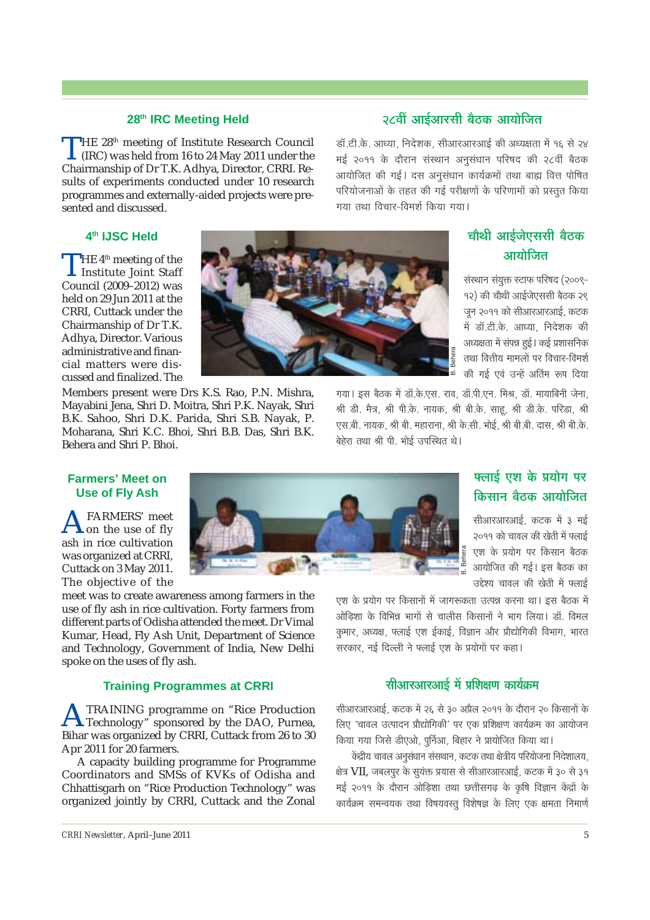#### **28th IRC Meeting Held**

THE 28<sup>th</sup> meeting of Institute Research Council (IRC) was held from 16 to 24 May 2011 under the Chairmanship of Dr T.K. Adhya, Director, CRRI. Results of experiments conducted under 10 research programmes and externally-aided projects were presented and discussed.

## **4th IJSC Held**

THE  $4^{\text{th}}$  meeting of the<br>Institute Joint Staff Council (2009–2012) was held on 29 Jun 2011 at the CRRI, Cuttack under the Chairmanship of Dr T.K. Adhya, Director. Various administrative and financial matters were discussed and finalized. The

Members present were Drs K.S. Rao, P.N. Mishra, Mayabini Jena, Shri D. Moitra, Shri P.K. Nayak, Shri B.K. Sahoo, Shri D.K. Parida, Shri S.B. Nayak, P. Moharana, Shri K.C. Bhoi, Shri B.B. Das, Shri B.K. Behera and Shri P. Bhoi.

# **28´ÉÓ +É<Ç+É®úºÉÒ ¤Éè`öEò +ɪÉÉäÊVÉiÉ**

<u>डॉ.टी.के. आध्या. निदेशक, सीआरआरआई की अध्यक्षता में १६ से २४</u> मई २०११ के दौरान संस्थान अनुसंधान परिषद की २८वीं बैठक आयोजित की गई। दस अनुसंधान कार्यक्रमों तथा बाह्य वित्त पोषित <u>परियोजनाओं के तहत की गई परीक्षणों के परिणामों को प्रस्तत किया</u> गया तथा विचार-विमर्श किया गया।

# **चौथी आईजेएससी बैठक आयो**जित

संस्थान संयुक्त स्टाफ परिषद (२००९-१२) की चौथी आईजेएससी बैठक २९ जुन २०११ को सीआरआरआई, कटक <u>में डॉ.टी.के. आध्या, निदेशक की</u> अध्यक्षता में संपन्न हुई । कई प्रशासनिक तथा वित्तीय मामलों पर विचार-विमर्श की गई एवं उन्हें अतिम रूप दिया

गया । इस बैठक में डॉ.के.एस. राव, डॉ.पी.एन. मिश्र, डॉ. मायाबिनी जेना, श्री डी. मैत्र, श्री पी.के. नायक, श्री बी.के. साहू, श्री डी.के. परिडा, श्री .<br>एस.बी. नायक, श्री बी. महाराना, श्री के.सी. भोई, श्री बी.बी. दास, श्री बी.के. बेहेरा तथा श्री पी. भोई उपस्थित थे।

B. Behera

#### **Farmers' Meet on Use of Fly Ash**

**A**FARMERS' meet<br> **on** the use of fly ash in rice cultivation was organized at CRRI, Cuttack on 3 May 2011. The objective of the

meet was to create awareness among farmers in the use of fly ash in rice cultivation. Forty farmers from different parts of Odisha attended the meet. Dr Vimal Kumar, Head, Fly Ash Unit, Department of Science and Technology, Government of India, New Delhi spoke on the uses of fly ash.

#### **Training Programmes at CRRI**

**ATRAINING** programme on "Rice Production"<br>Technology" sponsored by the DAO, Purnea, Bihar was organized by CRRI, Cuttack from 26 to 30 Apr 2011 for 20 farmers.

A capacity building programme for Programme Coordinators and SMSs of KVKs of Odisha and Chhattisgarh on "Rice Production Technology" was organized jointly by CRRI, Cuttack and the Zonal



# **[** $\frac{1}{2}$ **]**<br>एलाई एश के प्रयोग पर **किसान बै**ठक आयोजित

सीआरआरआई, कटक में ३ मई २०११ को चावल की खेती में फ्लाई एश के प्रयोग पर किसान बैठक आयोजित की गई। इस बैठक का उद्देश्य चावल की खेती में फ्लाई

एश के प्रयोग पर किसानों में जागरूकता उत्पन्न करना था। इस बैठक में ओडिशा के विभिन्न भागों से चालीस किसानों ने भाग लिया। डॉ. विमल कमार, अध्यक्ष, फ्लाई एश ईकाई, विज्ञान और प्रौद्योगिकी विभाग, भारत सरकार, नई दिल्ली ने फ्लाई एश के प्रयोगों पर कहा।

## **सीआरआरआई में प्रशिक्षण कार्यक्रम**

सीआरआरआई, कटक में २६ से ३० अप्रैल २०११ के दौरान २० किसानों के लिए 'चावल उत्पादन प्रौद्योगिकी' पर एक प्रशिक्षण कार्यक्रम का आयोजन किया गया जिसे डीएओ, पूर्निआ, बिहार ने प्रायोजित किया था।

केंद्रीय चावल अनुसंधान संसथान, कटक तथा क्षेत्रीय परियोजना निदेशालय, क्षेत्र VII, जबलपुर के सुयंक्त प्रयास से सीआरआरआई, कटक में ३० से ३१ मई २०११ के दौरान ओड़िशा तथा छत्तीसगढ़ के कृषि विज्ञान केंद्रों के कार्यक्रम समन्वयक तथा विषयवस्तु विशेषज्ञ के लिए एक क्षमता निमार्ण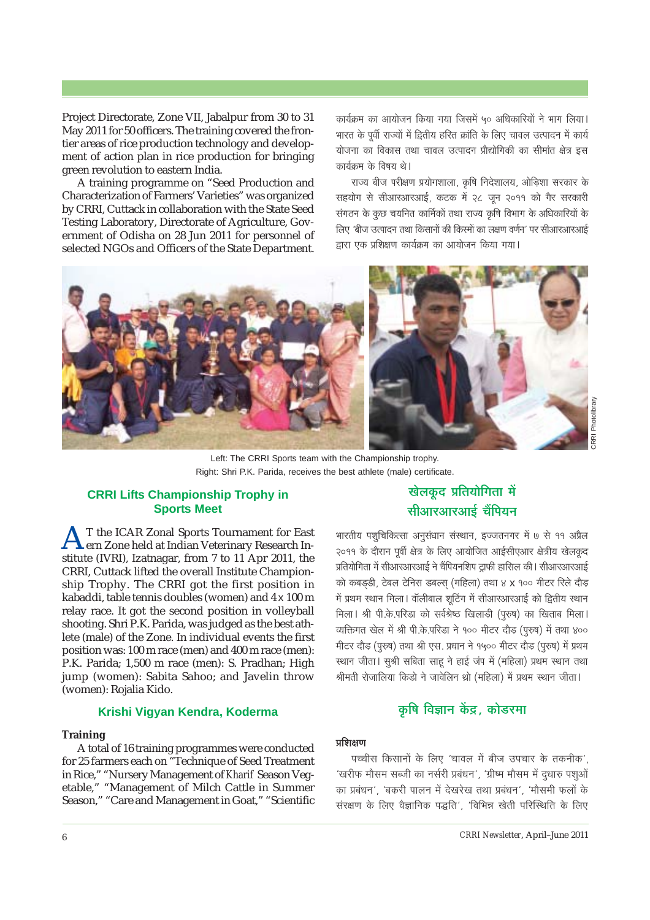Project Directorate, Zone VII, Jabalpur from 30 to 31 May 2011 for 50 officers. The training covered the frontier areas of rice production technology and development of action plan in rice production for bringing green revolution to eastern India.

A training programme on "Seed Production and Characterization of Farmers' Varieties" was organized by CRRI, Cuttack in collaboration with the State Seed Testing Laboratory, Directorate of Agriculture, Government of Odisha on 28 Jun 2011 for personnel of selected NGOs and Officers of the State Department.

कार्यक्रम का आयोजन किया गया जिसमें ५० अधिकारियों ने भाग लिया। भारत के पूर्वी राज्यों में द्वितीय हरित क्रांति के लिए चावल उत्पादन में कार्य योजना का विकास तथा चावल उत्पादन प्रौद्योगिकी का सीमांत क्षेत्र इस कार्यक्रम के विषय थे।

राज्य बीज परीक्षण प्रयोगशाला, कृषि निदेशालय, ओड़िशा सरकार के सहयोग से सीआरआरआई, कटक में २८ जन २०११ को गैर सरकारी संगठन के कुछ चयनित कार्मिकों तथा राज्य कृषि विभाग के अधिकारियों के लिए 'बीज उत्पादन तथा किसानों की किस्मों का लक्षण वर्णन' पर सीआरआरआई द्वारा एक प्रशिक्षण कार्यक्रम का आयोजन किया गया।



Left: The CRRI Sports team with the Championship trophy. Right: Shri P.K. Parida, receives the best athlete (male) certificate.

## **CRRI Lifts Championship Trophy in Sports Meet**

T the ICAR Zonal Sports Tournament for East ern Zone held at Indian Veterinary Research Institute (IVRI), Izatnagar, from 7 to 11 Apr 2011, the CRRI. Cuttack lifted the overall Institute Championship Trophy. The CRRI got the first position in kabaddi, table tennis doubles (women) and 4 x 100 m relay race. It got the second position in volleyball shooting. Shri P.K. Parida, was judged as the best athlete (male) of the Zone. In individual events the first position was: 100 m race (men) and 400 m race (men): P.K. Parida; 1,500 m race (men): S. Pradhan; High jump (women): Sabita Sahoo: and Javelin throw (women): Rojalia Kido.

#### Krishi Viqyan Kendra, Koderma

#### **Training**

A total of 16 training programmes were conducted for 25 farmers each on "Technique of Seed Treatment in Rice," "Nursery Management of Kharif Season Vegetable," "Management of Milch Cattle in Summer Season," "Care and Management in Goat," "Scientific

# खेलकूद प्रतियोगिता में सीआरआरआई चैंपियन

भारतीय पशुचिकित्सा अनुसंधान संस्थान, इज्जतनगर में ७ से ११ अप्रैल २०११ के दौरान पूर्वी क्षेत्र के लिए आयोजित आईसीएआर क्षेत्रीय खेलकूद प्रतियोगिता में सीआरआरआई ने चैंपियनशिप ट्राफी हासिल की। सीआरआरआई को कबडडी, टेबल टेनिस डबल्स (महिला) तथा ४ **x** १०० मीटर रिले दौड़ में प्रथम स्थान मिला। वॉलीबाल शटिंग में सीआरआरआई को द्वितीय स्थान मिला। श्री पी.के.परिडा को सर्वश्रेष्ठ खिलाड़ी (पुरुष) का खिताब मिला। व्यक्तिगत खेल में श्री पी.के.परिडा ने १०० मीटर दौड़ (पुरुष) में तथा ४०० मीटर दौड़ (पुरुष) तथा श्री एस. प्रधान ने १५०० मीटर दौड़ (पुरुष) में प्रथम स्थान जीता। सुश्री सबिता साहू ने हाई जंप में (महिला) प्रथम स्थान तथा श्रीमती रोजालिया किड़ो ने जावेलिन थ्रो (महिला) में प्रथम स्थान जीता।

# कृषि विज्ञान केंद्र, कोडरमा

#### प्रशिक्षण

पच्चीस किसानों के लिए 'चावल में बीज उपचार के तकनीक', 'खरीफ मौसम सब्जी का नर्सरी प्रबंधन', 'ग्रीष्म मौसम में दुधारु पशुओं का प्रबंधन', 'बकरी पालन में देखरेख तथा प्रबंधन', 'मौसमी फलों के संरक्षण के लिए वैज्ञानिक पद्धति', 'विभिन्न खेती परिस्थिति के लिए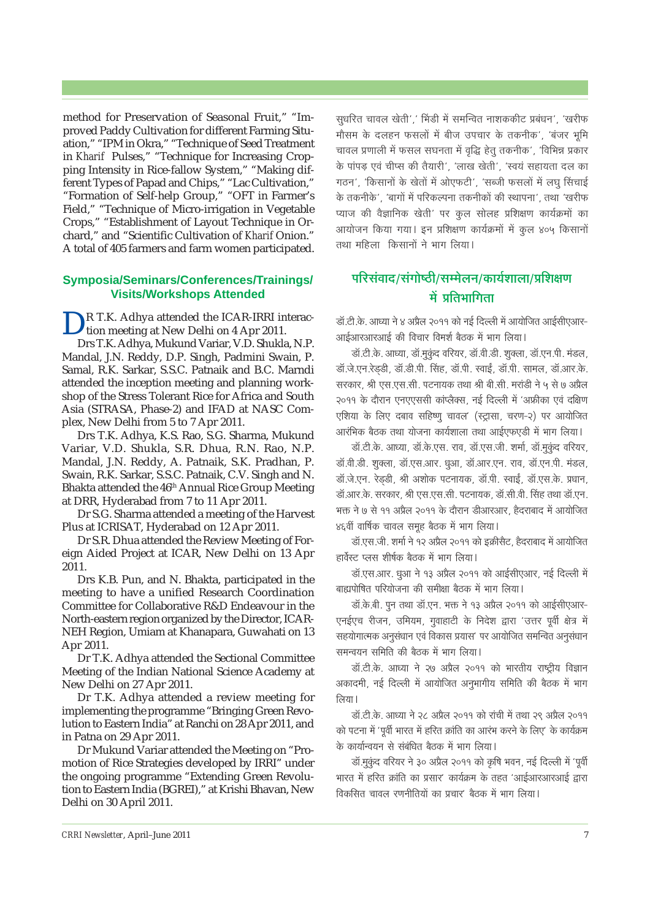method for Preservation of Seasonal Fruit," "Improved Paddy Cultivation for different Farming Situation," "IPM in Okra," "Technique of Seed Treatment in *Kharif* Pulses," "Technique for Increasing Cropping Intensity in Rice-fallow System," "Making different Types of Papad and Chips," "Lac Cultivation," "Formation of Self-help Group," "OFT in Farmer's Field," "Technique of Micro-irrigation in Vegetable Crops," "Establishment of Layout Technique in Orchard," and "Scientific Cultivation of *Kharif* Onion." A total of 405 farmers and farm women participated.

#### **Symposia/Seminars/Conferences/Trainings/ Visits/Workshops Attended**

R T.K. Adhya attended the ICAR-IRRI interaction meeting at New Delhi on 4 Apr 2011.

Drs T.K. Adhya, Mukund Variar, V.D. Shukla, N.P. Mandal, J.N. Reddy, D.P. Singh, Padmini Swain, P. Samal, R.K. Sarkar, S.S.C. Patnaik and B.C. Marndi attended the inception meeting and planning workshop of the Stress Tolerant Rice for Africa and South Asia (STRASA, Phase-2) and IFAD at NASC Complex, New Delhi from 5 to 7 Apr 2011.

Drs T.K. Adhya, K.S. Rao, S.G. Sharma, Mukund Variar, V.D. Shukla, S.R. Dhua, R.N. Rao, N.P. Mandal, J.N. Reddy, A. Patnaik, S.K. Pradhan, P. Swain, R.K. Sarkar, S.S.C. Patnaik, C.V. Singh and N. Bhakta attended the 46th Annual Rice Group Meeting at DRR, Hyderabad from 7 to 11 Apr 2011.

Dr S.G. Sharma attended a meeting of the Harvest Plus at ICRISAT, Hyderabad on 12 Apr 2011.

Dr S.R. Dhua attended the Review Meeting of Foreign Aided Project at ICAR, New Delhi on 13 Apr 2011.

Drs K.B. Pun, and N. Bhakta, participated in the meeting to have a unified Research Coordination Committee for Collaborative R&D Endeavour in the North-eastern region organized by the Director, ICAR-NEH Region, Umiam at Khanapara, Guwahati on 13 Apr 2011.

Dr T.K. Adhya attended the Sectional Committee Meeting of the Indian National Science Academy at New Delhi on 27 Apr 2011.

Dr T.K. Adhya attended a review meeting for implementing the programme "Bringing Green Revolution to Eastern India" at Ranchi on 28 Apr 2011, and in Patna on 29 Apr 2011.

Dr Mukund Variar attended the Meeting on "Promotion of Rice Strategies developed by IRRI" under the ongoing programme "Extending Green Revolution to Eastern India (BGREI)," at Krishi Bhavan, New Delhi on 30 April 2011.

सुधरित चावल खेती',' भिंडी में समन्वित नाशककीट प्रबंधन', 'खरीफ <u>मौसम के दलहन फसलों में बीज उपचार के तकनीक', 'बंजर भूमि</u> चावल प्रणाली में फसल सघनता में वृद्धि हेतू तकनीक', 'विभिन्न प्रकार के पांपड़ एवं चीप्स की तैयारी', 'लाख खेती', 'स्वयं सहायता दल का गठन', 'किसानों के खेतों में ओएफटी', 'सब्जी फसलों में लघ सिंचाई के तकनीके', 'बागों में परिकल्पना तकनीकों की स्थापना', तथा 'खरीफ <u>प्याज की वैज्ञानिक खेती' पर कुल सोलह प्रशिक्षण कार्यक्रमों का</u> आयोजन किया गया। इन प्रशिक्षण कार्यक्रमों में कूल ४०५ किसानों तथा महिला किसानों ने भाग लिया।

# <u>परिसंवाद/संगोष्ठी/सम्मेलन/कार्यशाला/प्रशिक्षण</u> में प्रतिभागिता

<u>डॉ.टी.के. आध्या ने ४ अप्रैल २०११ को नई दिल्ली में आयोजित आईसीएआर-</u> आईआरआरआई की विचार विमर्श बैठक में भाग लिया।

<u>डॉ.टी.के. आध्या, डॉ.मुकुंद वरियर, डॉ.वी.डी. शुक्ला, डॉ.एन.पी. मंडल,</u> .<br>डॉ.जे.एन.रेडडी, डॉ.डी.पी. सिंह, डॉ.पी. स्वाईं, डॉ.पी. सामल, डॉ.आर.के. सरकार, श्री एस.एस.सी. पटनायक तथा श्री बी.सी. मरांडी ने ५ से ७ अप्रैल २०११ के दौरान एनएएससी कांप्लैक्स, नई दिल्ली में 'अफ्रीका एवं दक्षिण एशिया के लिए दबाव सहिष्णू चावल' (स्ट्रासा, चरण-२) पर आयोजित आरंभिक बैठक तथा योजना कार्यशाला तथा आईएफएडी में भाग लिया।

<u>डॉ.टी.के. आध्या, डॉ.के.एस. राव, डॉ.एस.जी. शर्मा, डॉ.मुकुंद वरियर,</u> .<br>डॉ.वी.डी. शुक्ला, डॉ.एस.आर. धुआ, डॉ.आर.एन. राव, डॉ.एन.पी. मंडल, .<br>डॉ.जे.एन. रेडडी. श्री अशोक पटनायक. डॉ.पी. स्वाईं. डॉ.एस.के. प्रधान. <u>डॉ.आर.के. सरकार, श्री एस.एस.सी. पटनायक, डॉ.सी.वी. सिंह तथा डॉ.एन.</u> भक्त ने ७ से ११ अप्रैल २०११ के दौरान डीआरआर, हैदराबाद में आयोजित ४६वीं वार्षिक चावल समुह बैठक में भाग लिया।

डॉ.एस.जी. शर्मा ने १२ अप्रैल २०११ को इक्रीसैट, हैदराबाद में आयोजित हार्वेस्ट प्लस शीर्षक बैठक में भाग लिया।

<u>डॉ.एस.आर. धूआ ने १३ अप्रैल २०११ को आईसीएआर, नई दिल्ली में</u> बाह्यपोषित परियोजना की समीक्षा बैठक में भाग लिया।

<u>डॉ.के.बी. पुन तथा डॉ.एन. भक्त ने १३ अप्रैल २०११ को आईसीएआर-</u> एनईएच रीजन, उमियम, गुवाहाटी के निदेश द्वारा 'उत्तर पूर्वी क्षेत्र में सहयोगात्मक अनुसंधान एवं विकास प्रयास' पर आयोजित समन्वित अनुसंधान समन्वयन समिति की बैठक में भाग लिया।

<u>डॉ.टी.के. आध्या ने २७ अप्रैल २०११ को भारतीय राष्ट्रीय विज्ञान</u> अकादमी, नई दिल्ली में आयोजित अनुभागीय समिति की बैठक में भाग तिया।

<u>डॉ.टी.के. आध्या ने २८ अप्रैल २०११ को रांची में तथा २९ अप्रैल २०११</u> को पटना में 'पूर्वी भारत में हरित क्रांति का आरंभ करने के लिए' के कार्यक्रम के कार्यान्वयन से संबंधित बैठक में भाग लिया।

<u>डॉ.मुक</u>ंद वरियर ने ३० अप्रैल २०११ को कृषि भवन, नई दिल्ली में 'पूर्वी भारत में हरित क्रांति का प्रसार' कार्यक्रम के तहत 'आईआरआरआई द्वारा <u>विकसित चावल रणनीतियों का प्रचार' बैठक में भाग लिया।</u>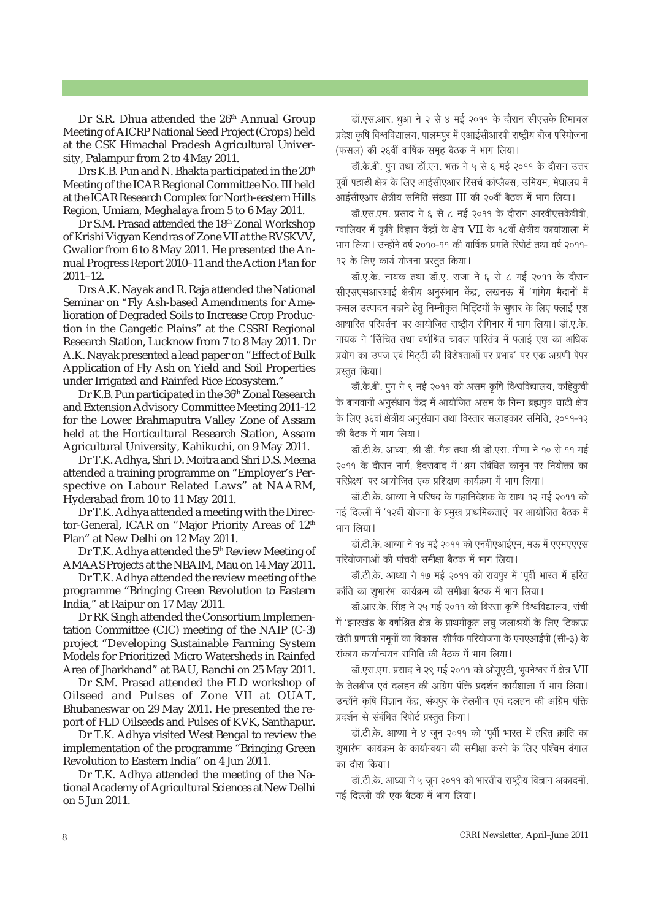Dr S.R. Dhua attended the 26<sup>th</sup> Annual Group Meeting of AICRP National Seed Project (Crops) held at the CSK Himachal Pradesh Agricultural University, Palampur from 2 to 4May 2011.

Drs K.B. Pun and N. Bhakta participated in the 20<sup>th</sup> Meeting of the ICAR Regional Committee No. III held at the ICAR Research Complex for North-eastern Hills Region, Umiam, Meghalaya from 5 to 6 May 2011.

Dr S.M. Prasad attended the 18<sup>th</sup> Zonal Workshop of Krishi Vigyan Kendras of Zone VII at the RVSKVV, Gwalior from 6 to 8 May 2011. He presented the Annual Progress Report 2010–11 and the Action Plan for 2011–12.

Drs A.K. Nayak and R. Raja attended the National Seminar on *"*Fly Ash-based Amendments for Amelioration of Degraded Soils to Increase Crop Production in the Gangetic Plains" at the CSSRI Regional Research Station, Lucknow from 7 to 8 May 2011. Dr A.K. Nayak presented a lead paper on "Effect of Bulk Application of Fly Ash on Yield and Soil Properties under Irrigated and Rainfed Rice Ecosystem."

Dr K.B. Pun participated in the 36<sup>th</sup> Zonal Research and Extension Advisory Committee Meeting 2011-12 for the Lower Brahmaputra Valley Zone of Assam held at the Horticultural Research Station, Assam Agricultural University, Kahikuchi, on 9 May 2011.

Dr T.K. Adhya, Shri D. Moitra and Shri D.S. Meena attended a training programme on "Employer's Perspective on Labour Related Laws" at NAARM, Hyderabad from 10 to 11 May 2011.

Dr T.K. Adhya attended a meeting with the Director-General, ICAR on "Major Priority Areas of 12<sup>th</sup> Plan" at New Delhi on 12 May 2011.

Dr T.K. Adhya attended the 5<sup>th</sup> Review Meeting of AMAAS Projects at the NBAIM, Mau on 14 May 2011.

Dr T.K. Adhya attended the review meeting of the programme "Bringing Green Revolution to Eastern India," at Raipur on 17 May 2011.

Dr RK Singh attended the Consortium Implementation Committee (CIC) meeting of the NAIP (C-3) project "Developing Sustainable Farming System Models for Prioritized Micro Watersheds in Rainfed Area of Jharkhand" at BAU, Ranchi on 25 May 2011.

Dr S.M. Prasad attended the FLD workshop of Oilseed and Pulses of Zone VII at OUAT, Bhubaneswar on 29 May 2011. He presented the report of FLD Oilseeds and Pulses of KVK, Santhapur.

Dr T.K. Adhya visited West Bengal to review the implementation of the programme "Bringing Green Revolution to Eastern India" on 4 Jun 2011.

Dr T.K. Adhya attended the meeting of the National Academy of Agricultural Sciences at New Delhi on 5 Jun 2011.

डॉ.एस.आर. धुआ ने २ से ४ मई २०११ के दौरान सीएसके हिमाचल प्रदेश कृषि विश्वविद्यालय, पालमपुर में एआईसीआरपी राष्ट्रीय बीज परियोजना (फसल) की २६वीं वार्षिक समूह बैठक में भाग लिया।

डॉ.के.बी. पुन तथा डॉ.एन. भक्त ने ५ से ६ मई २०११ के दौरान उत्तर yर्वी पहाड़ी क्षेत्र के लिए आईसीएआर रिसर्च कांप्लैक्स, उमियम, मेघालय में आईसीएआर क्षेत्रीय समिति संख्या III की २०वीं बैठक में भाग लिया।

डॉ.एस.एम. प्रसाद ने ६ से ८ मई २०११ के दौरान आरवीएसकेवीवी, ग्वालियर में कृषि विज्ञान केंद्रों के क्षेत्र  $VII$  के १८वीं क्षेत्रीय कार्याशाला में भाग लिया। उन्होंने वर्ष २०१०-११ की वार्षिक प्रगति रिपोर्ट तथा वर्ष २०११-१२ के लिए कार्य योजना प्रस्तुत किया।

<u>डॉ.ए.के. नायक तथा डॉ.ए. राजा ने ६ से ८ मई २०११ के दौरान</u> सीएसएसआरआई क्षेत्रीय अनुसंधान केंद्र, लखनऊ में 'गांगेय मैदानों में फसल उत्पादन बढ़ाने हेतु निम्नीकृत मिटिटयों के सुधार के लिए फ्लाई एश आधारित परिवर्तन' पर आयोजित राष्ट्रीय सेमिनार में भाग लिया। डॉ.ए.के. नायक ने 'सिंचित तथा वर्षाश्रित चावल पारितंत्र में फ्लाई एश का अधिक |<br>प्रयोग का उपज एवं मिटटी की विशेषताओं पर प्रभाव' पर एक अग्रणी पेपर प्रस्तुत किया।

डॉ.के.बी. पुन ने ९ मई २०११ को असम कृषि विश्वविद्यालय, कहिकुची के बागवानी अनुसंधान केंद्र में आयोजित असम के निम्न ब्रह्मपुत्र घाटी क्षेत्र के लिए ३६वां क्षेत्रीय अनुसंधान तथा विस्तार सलाहकार समिति, २०११-१२ की बैठक में भाग लिया।

डॉ.टी.के. आध्या, श्री डी. मैत्र तथा श्री डी.एस. मीणा ने १० से ११ मई २०११ के दौरान नार्म, हैदराबाद में 'श्रम संबंधित कानून पर नियोक्ता का परिप्रेक्ष्य' पर आयोजित एक प्रशिक्षण कार्यक्रम में भाग लिया।

<u>डॉ.टी.के. आध्या ने परिषद के महानिदेशक के साथ १२ मई २०११ को</u> नई दिल्ली में '१२वीं योजना के प्रमुख प्राथमिकताएं' पर आयोजित बैठक में भाग लिया।

<u>डॉ.टी.के. आध्या ने १४ मई २०११ को एनबीएआईएम, मऊ में एएमएएएस</u> परियोजनाओं की पांचवी समीक्षा बैठक में भाग लिया।

डॉ.टी के. आध्या ने १७ मई २०११ को रायपुर में 'पूर्वी भारत में हरित क्रांति का शुभारंभ' कार्यक्रम की समीक्षा बैठक में भाग लिया।

<u>डॉ.आर.के. सिंह ने २५ मई २०११ को बिरसा कृषि विश्वविद्यालय, रांची</u> में 'झारखंड के वर्षाश्रित क्षेत्र के प्राथमीकृत लघु जलाश्रयों के लिए टिकाऊ खेती प्रणाली नमूनों का विकास' शीर्षक परियोजना के एनएआईपी (सी-३) के संकाय कार्यान्वयन समिति की बैठक में भाग लिया।

डॉ.एस.एम. प्रसाद ने २९ मई २०११ को ओयूएटी, भुवनेश्वर में क्षेत्र VII के तेलबीज एवं दलहन की अग्रिम पंक्ति प्रदर्शन कार्यशाला में भाग लिया। उन्होंने कृषि विज्ञान केंद्र, संथपूर के तेलबीज एवं दलहन की अग्रिम पंक्ति प्रदर्शन से संबंधित रिपोर्ट प्रस्तुत किया।

डॉ.टी.के. आध्या ने ४ जून २०११ को 'पूर्वी भारत में हरित क्रांति का .<br>शभारंभ' कार्यक्रम के कार्यान्वयन की समीक्षा करने के लिए पश्चिम बंगाल का दौरा किया।

डॉ.टी.के. आध्या ने ५ जून २०११ को भारतीय राष्ट्रीय विज्ञान अकादमी, नई दिल्ली की एक बैठक में भाग लिया।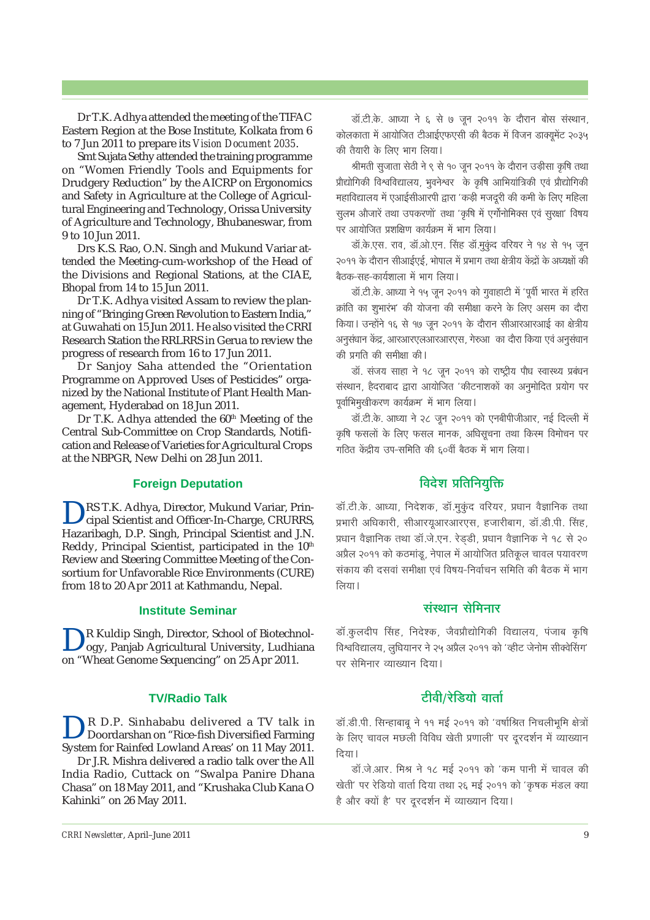Dr T.K. Adhya attended the meeting of the TIFAC Eastern Region at the Bose Institute, Kolkata from 6 to 7 Jun 2011 to prepare its *Vision Document 2035*.

Smt Sujata Sethy attended the training programme on "Women Friendly Tools and Equipments for Drudgery Reduction" by the AICRP on Ergonomics and Safety in Agriculture at the College of Agricultural Engineering and Technology, Orissa University of Agriculture and Technology, Bhubaneswar, from 9 to 10 Jun 2011.

Drs K.S. Rao, O.N. Singh and Mukund Variar attended the Meeting-cum-workshop of the Head of the Divisions and Regional Stations, at the CIAE, Bhopal from 14 to 15 Jun 2011.

Dr T.K. Adhya visited Assam to review the planning of "Bringing Green Revolution to Eastern India," at Guwahati on 15 Jun 2011. He also visited the CRRI Research Station the RRLRRS in Gerua to review the progress of research from 16 to 17 Jun 2011.

Dr Sanjoy Saha attended the "Orientation Programme on Approved Uses of Pesticides" organized by the National Institute of Plant Health Management, Hyderabad on 18 Jun 2011.

Dr T.K. Adhya attended the  $60<sup>th</sup>$  Meeting of the Central Sub-Committee on Crop Standards, Notification and Release of Varieties for Agricultural Crops at the NBPGR, New Delhi on 28 Jun 2011.

#### **Foreign Deputation**

DRS T.K. Adhya, Director, Mukund Variar, Prin-cipal Scientist and Officer-In-Charge, CRURRS, Hazaribagh, D.P. Singh, Principal Scientist and J.N. Reddy, Principal Scientist, participated in the 10<sup>th</sup> Review and Steering Committee Meeting of the Consortium for Unfavorable Rice Environments (CURE) from 18 to 20 Apr 2011 at Kathmandu, Nepal.

#### **Institute Seminar**

R Kuldip Singh, Director, School of Biotechnology, Panjab Agricultural University, Ludhiana on "Wheat Genome Sequencing" on 25 Apr 2011.

#### **TV/Radio Talk**

DR D.P. Sinhababu delivered a TV talk in Doordarshan on "Rice-fish Diversified Farming System for Rainfed Lowland Areas' on 11 May 2011.

Dr J.R. Mishra delivered a radio talk over the All India Radio, Cuttack on "Swalpa Panire Dhana Chasa" on 18 May 2011, and "Krushaka Club Kana O Kahinki" on 26 May 2011.

डॉ.टी.के. आध्या ने ६ से ७ जन २०११ के दौरान बोस संस्थान, कोलकाता में आयोजित टीआईएफएसी की बैठक में विजन डाक्यमेंट २०३५ की तैयारी के लिए भाग लिया।

श्रीमती सुजाता सेठी ने ९ से १० जून २०११ के दौरान उड़ीसा कृषि तथा प्रौद्योगिकी विश्वविद्यालय, भुवनेश्वर के कृषि आभियांत्रिकी एवं प्रौद्योगिकी <u>महाविद्यालय में एआईसीआरपी द्वारा 'कड़ी मजदूरी की कमी के लिए महिला</u> सुलभ औजारें तथा उपकरणों' तथा 'कृषि में एर्गोनोमिक्स एवं सुरक्षा' विषय पर आयोजित प्रशक्षिण कार्यक्रम में भाग लिया।

<u>डॉ.के.एस. राव, डॉ.ओ.एन. सिंह डॉ.मुकुंद वरियर ने १४ से १५ जून</u> २०११ के दौरान सीआईएई. भोपाल में प्रभाग तथा क्षेत्रीय केंद्रों के अध्यक्षों की बैठक-सह-कार्यशाला में भाग लिया।

<u>डॉ.टी.के. आध्या ने १५ जून २०११ को गुवाहाटी में 'पूर्वी भारत में हरित</u> क्रांति का शुभारंभ' की योजना की समीक्षा करने के लिए असम का दौरा किया। उन्होंने १६ से १७ जून २०११ के दौरान सीआरआरआई का क्षेत्रीय अनुसंधान केंद्र, आरआरएलआरआरएस, गेरुआ का दौरा किया एवं अनुसंधान की प्रगति की समीक्षा की।

डॉ. संजय साहा ने १८ जून २०११ को राष्ट्रीय पौध स्वास्थ्य प्रबंधन संस्थान, हैदराबाद द्वारा आयोजित 'कीटनाशकों का अनुमोदित प्रयोग पर **पुर्वाभिमुखीकरण कार्यक्रम' में भाग लिया।** 

डॉ.टी.के. आध्या ने २८ जून २०११ को एनबीपीजीआर, नई दिल्ली में कृषि फसलों के लिए फसल मानक, अधिसूचना तथा किस्म विमोचन पर गठित केंद्रीय उप-समिति की ६०वीं बैठक में भाग लिया।

## **विदेश प्रतिनियुक्ति**

डॉ.टी.के. आध्या, निदेशक, डॉ.मुकुंद वरियर, प्रधान वैज्ञानिक तथा प्रभारी अधिकारी, सीआरयुआरआरएस, हजारीबाग, डॉ.डी.पी. सिंह, प्रधान वैज्ञानिक तथा डॉ.जे.एन. रेडडी, प्रधान वैज्ञानिक ने १८ से २० अप्रैल २०११ को कठमांडू, नेपाल में आयोजित प्रतिकूल चावल पयावरण .<br>संकाय की दसवां समीक्षा एवं विषय-निर्वाचन समिति की बैठक में भाग लिया।

## **संस्थान सेमिनार**

<u>डॉ.कलदीप सिंह, निदेश्क, जैवप्रौद्योगिकी विद्यालय, पंजाब कृषि</u> विश्वविद्यालय, लुधियानर ने २५ अप्रैल २०११ को 'व्हीट जेनोम सीक्वेसिंग' पर सेमिनार व्याख्यान दिया।

## $\frac{1}{2}$ विवी/रेडियो वार्ता

डॉ.डी.पी. सिन्हाबाबू ने ११ मई २०११ को 'वर्षाश्रित निचलीभूमि क्षेत्रों के लिए चावल मछली विविध खेती प्रणाली' पर दूरदर्शन में व्याख्यान दिया।

डॉ.जे.आर. मिश्र ने १८ मई २०११ को 'कम पानी में चावल की खेती' पर रेडियो वार्ता दिया तथा २६ मई २०११ को 'कषक मंडल क्या है और क्यों है' पर दरदर्शन में व्याख्यान दिया।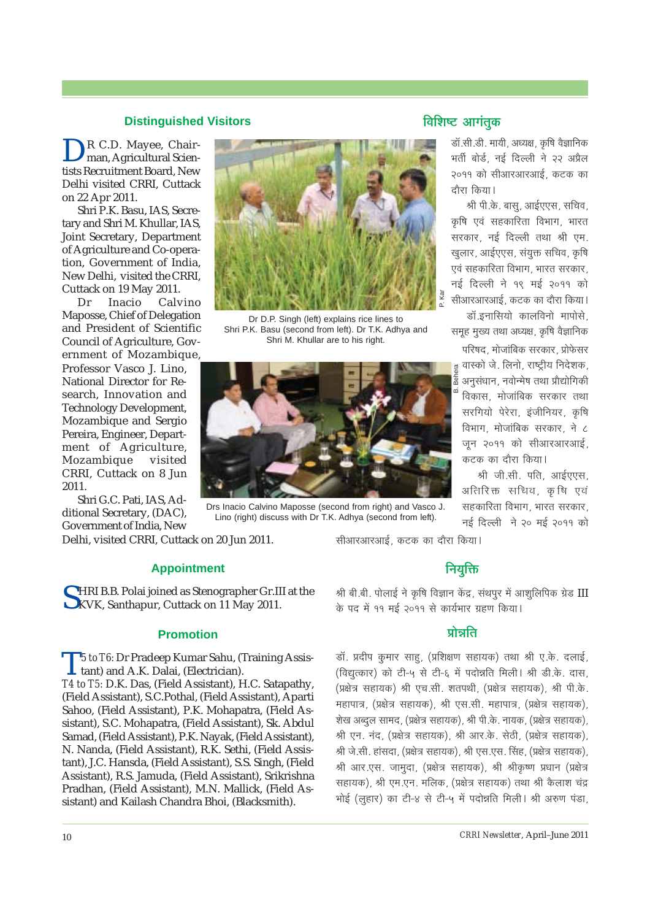#### **Distinguished Visitors**

R C.D. Mayee, Chairman, Agricultural Scientists Recruitment Board, New Delhi visited CRRI, Cuttack on 22 Apr 2011.

Shri P.K. Basu, IAS, Secretary and Shri M. Khullar, IAS, Joint Secretary, Department of Agriculture and Co-operation, Government of India, New Delhi, visited the CRRI, Cuttack on 19 May 2011.

Dr Inacio Calvino Maposse, Chief of Delegation and President of Scientific Council of Agriculture, Government of Mozambique, Professor Vasco J. Lino, National Director for Research, Innovation and Technology Development, Mozambique and Sergio Pereira, Engineer, Department of Agriculture, Mozambique visited CRRI, Cuttack on 8 Jun 2011.

Shri G.C. Pati, IAS, Additional Secretary, (DAC), Government of India, New

Delhi, visited CRRI, Cuttack on 20 Jun 2011.

#### **Appointment**

SHRI B.B. Polai joined as Stenographer Gr.III at the KVK, Santhapur, Cuttack on 11 May 2011.

#### **Promotion**

T*5 to T6:* Dr Pradeep Kumar Sahu, (Training Assistant) and A.K. Dalai, (Electrician).

*T4 to T5:* D.K. Das, (Field Assistant), H.C. Satapathy, (Field Assistant), S.C.Pothal, (Field Assistant), Aparti Sahoo, (Field Assistant), P.K. Mohapatra, (Field Assistant), S.C. Mohapatra, (Field Assistant), Sk. Abdul Samad, (Field Assistant), P.K. Nayak, (Field Assistant), N. Nanda, (Field Assistant), R.K. Sethi, (Field Assistant), J.C. Hansda, (Field Assistant), S.S. Singh, (Field Assistant), R.S. Jamuda, (Field Assistant), Srikrishna Pradhan, (Field Assistant), M.N. Mallick, (Field Assistant) and Kailash Chandra Bhoi, (Blacksmith).

P. Kar

Dr D.P. Singh (left) explains rice lines to Shri P.K. Basu (second from left). Dr T.K. Adhya and Shri M. Khullar are to his right.



Drs Inacio Calvino Maposse (second from right) and Vasco J. Lino (right) discuss with Dr T.K. Adhya (second from left).

सीआरआरआई, कटक का दौरा किया।

# **नियुक्ति**

श्री बी.बी. पोलाई ने कृषि विज्ञान केंद्र, संथपूर में आशुलिपिक ग्रेड III के पद में ११ मई २०११ से कार्यभार ग्रहण किया।

## **प्रो**न्नति

डॉ. प्रदीप कुमार साहु, (प्रशिक्षण सहायक) तथा श्री ए.के. दलाई, (विद्युत्कार) को टी-५ से टी-६ में पदोन्नति मिली। श्री डी.के. दास, (प्रक्षेत्र सहायक) श्री एच.सी. शतपथी, (प्रक्षेत्र सहायक), श्री पी.के. .<br>महापात्र, (प्रक्षेत्र सहायक), श्री एस.सी. महापात्र, (प्रक्षेत्र सहायक), शेख अब्दुल सामद, (प्रक्षेत्र सहायक), श्री पी.के. नायक, (प्रक्षेत्र सहायक), श्री एन. नंद, (प्रक्षेत्र सहायक), श्री आर.के. सेठी, (प्रक्षेत्र सहायक), श्री जे.सी. हांसदा, (प्रक्षेत्र सहायक), श्री एस.एस. सिंह, (प्रक्षेत्र सहायक), श्री आर.एस. जामुदा, (प्रक्षेत्र सहायक), श्री श्रीकृष्ण प्रधान (प्रक्षेत्र सहायक), श्री एम.एन. मलिक, (प्रक्षेत्र सहायक) तथा श्री कैलाश चंद्र भोई (लूहार) का टी-४ से टी-५ में पदोन्नति मिली। श्री अरुण पंडा,

## **विशिष्ट** आगंतुक

डॉ.सी.डी. मायी, अध्यक्ष, कृषि वैज्ञानिक भर्ती बोर्ड, नई दिल्ली ने २२ अप्रैल २०११ को सीआरआरआई, कटक का दौरा किया।

श्री पी.के. बास, आईएएस, सचिव, कृषि एवं सहकारिता विभाग, भारत सरकार, नई दिल्ली तथा श्री एम. खुलार, आईएएस, संयुक्त सचिव, कृषि .<br>एवं सहकारिता विभाग, भारत सरकार, नई दिल्ली ने १९ मई २०११ को सीआरआरआई, कटक का दौरा किया।

.<br>डॉ.इनासियो कालविनो मापोसे. समह मख्य तथा अध्यक्ष. कषि वैज्ञानिक

परिषद, मोजांबिक सरकार, प्रोफेसर वास्को जे. लिनो, राष्ट्रीय निदेशक, ira B. Behera अनुसंधान, नवोन्मेष तथा प्रौद्योगिकी विकास, मोजांबिक सरकार तथा सरगियो पेरेरा, इंजीनियर, कृषि विभाग, मोजांबिक सरकार, ने ८ जून २०११ को सीआरआरआई, कटक का दौरा किया।

श्री जी.सी. पति. आईएएस. अतिरिक्त सचिव, कृषि एवं सहकारिता विभाग, भारत सरकार, नई दिल्ली ने २० मई २०११ को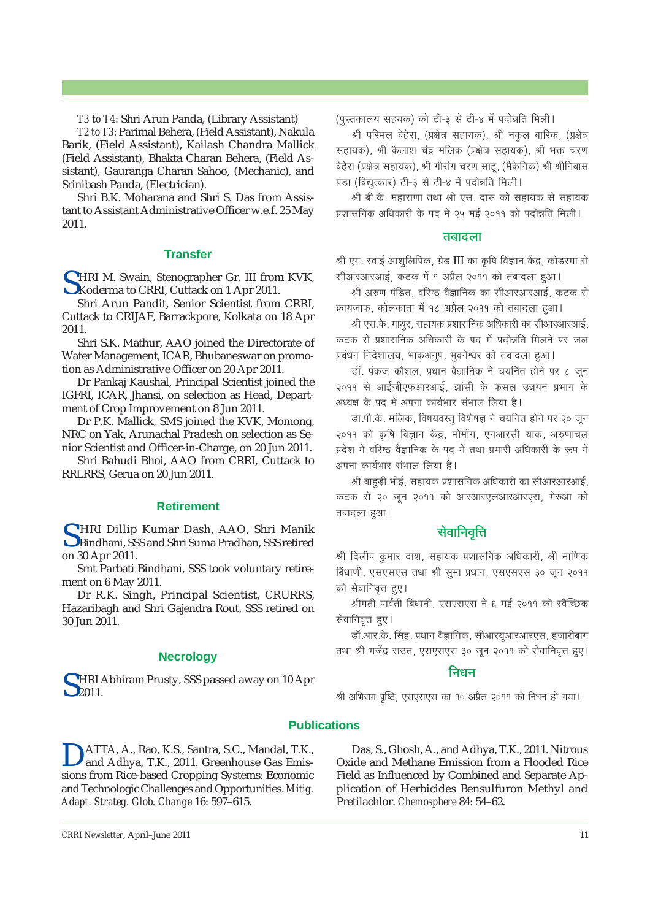*T3 to T4:* Shri Arun Panda, (Library Assistant)

*T2 to T3:* Parimal Behera, (Field Assistant), Nakula Barik, (Field Assistant), Kailash Chandra Mallick (Field Assistant), Bhakta Charan Behera, (Field Assistant), Gauranga Charan Sahoo, (Mechanic), and Srinibash Panda, (Electrician).

Shri B.K. Moharana and Shri S. Das from Assistant to Assistant Administrative Officer w.e.f. 25 May 2011.

#### **Transfer**

CHRI M. Swain, Stenographer Gr. III from KVK, Koderma to CRRI, Cuttack on 1 Apr 2011.

Shri Arun Pandit, Senior Scientist from CRRI, Cuttack to CRIJAF, Barrackpore, Kolkata on 18 Apr 2011.

Shri S.K. Mathur, AAO joined the Directorate of Water Management, ICAR, Bhubaneswar on promotion as Administrative Officer on 20 Apr 2011.

Dr Pankaj Kaushal, Principal Scientist joined the IGFRI, ICAR, Jhansi, on selection as Head, Department of Crop Improvement on 8 Jun 2011.

Dr P.K. Mallick, SMS joined the KVK, Momong, NRC on Yak, Arunachal Pradesh on selection as Senior Scientist and Officer-in-Charge, on 20 Jun 2011.

Shri Bahudi Bhoi, AAO from CRRI, Cuttack to RRLRRS, Gerua on 20 Jun 2011.

#### **Retirement**

S HRI Dillip Kumar Dash, AAO, Shri Manik<br>Bindhani, SSS and Shri Suma Pradhan, SSS retired on 30 Apr 2011.

Smt Parbati Bindhani, SSS took voluntary retirement on 6 May 2011.

Dr R.K. Singh, Principal Scientist, CRURRS, Hazaribagh and Shri Gajendra Rout, SSS retired on 30 Jun 2011.

#### **Necrology**

SHRI Abhiram Prusty, SSS passed away on 10 Apr<br>2011.

(पुस्तकालय सहयक) को टी-३ से टी-४ में पदोन्नति मिली।

श्री परिमल बेहेरा, (प्रक्षेत्र सहायक), श्री नकूल बारिक, (प्रक्षेत्र सहायक), श्री कैलाश चंद्र मलिक (प्रक्षेत्र सहायक), श्री भक्त चरण बेहेरा (प्रक्षेत्र सहायक), श्री गौरांग चरण साहू, (मैकेनिक) श्री श्रीनिबास पंडा (विद्युत्कार) टी-३ से टी-४ में पदोन्नति मिली।

श्री बी.के. महाराणा तथा श्री एस. दास को सहायक से सहायक |<br>प्रशासनिक अधिकारी के पद में २५ मई २०११ को पदोन्नति मिली।

#### **<del>त</del>बादला**

श्री एम. स्वाईं आशलिपिक, ग्रेड III का कृषि विज्ञान केंद्र, कोडरमा से सीआरआरआई, कटक में १ अप्रैल २०११ को तबादला हुआ।

श्री अरुण पंडित, वरिष्ठ वैज्ञानिक का सीआरआरआई, कटक से क्रायजाफ, कोलकाता में १८ अप्रैल २०११ को तबादला हुआ।

श्री एस.के. माथुर, सहायक प्रशासनिक अधिकारी का सीआरआरआई, कटक से प्रशासनिक अधिकारी के पद में पदोन्नति मिलने पर जल प्रबंधन निदेशालय, भाकृअनुप, भुवनेश्वर को तबादला हुआ।

डॉ. पंकज कौशल, प्रधान वैज्ञानिक ने चयनित होने पर ८ जून २०११ से आईजीएफआरआई, झांसी के फसल उन्नयन प्रभाग के अध्यक्ष के पद में अपना कार्यभार संभाल लिया है।

डा.पी.के. मलिक, विषयवस्तू विशेषज्ञ ने चयनित होने पर २० जून २०११ को कृषि विज्ञान केंद्र, मोमोंग, एनआरसी याक, अरुणाचल |<br>प्रदेश में वरिष्ठ वैज्ञानिक के पद में तथा प्रभारी अधिकारी के रूप में अपना कार्यभार संभाल लिया है।

श्री बाहड़ी भोई, सहायक प्रशासनिक अधिकारी का सीआरआरआई, कटक से २० जन २०११ को आरआरएलआरआरएस, गेरुआ को तबादला हुआ।

#### **सेवानिवृत्ति**

श्री दिलीप कुमार दाश, सहायक प्रशासनिक अधिकारी, श्री माणिक बिंधाणी, एसएसएस तथा श्री समा प्रधान, एसएसएस ३० जन २०११ को सेवानिवृत्त हुए।

श्रीमती पार्वती बिंधानी, एसएसएस ने ६ मई २०११ को स्वैच्छिक सेवानिवृत्त हुए।

<u>डॉ.आर.के. सिंह, प्रधान वैज्ञानिक, सीआरयुआरआरएस, हजारीबाग</u> तथा श्री गजेंद्र राउत, एसएसएस ३० जून २०११ को सेवानिवृत्त हुए।

#### **निधन**

श्री अभिराम पृष्टि, एसएसएस का १० अप्रैल २०११ को निधन हो गया।

#### **Publications**

DATTA, A., Rao, K.S., Santra, S.C., Mandal, T.K., and Adhya, T.K., 2011. Greenhouse Gas Emissions from Rice-based Cropping Systems: Economic and Technologic Challenges and Opportunities. *Mitig. Adapt. Strateg. Glob. Change* 16: 597–615.

Das, S., Ghosh, A., and Adhya, T.K., 2011. Nitrous Oxide and Methane Emission from a Flooded Rice Field as Influenced by Combined and Separate Application of Herbicides Bensulfuron Methyl and Pretilachlor. *Chemosphere* 84: 54–62.

**CRRI Newsletter**, April–June 2011 11